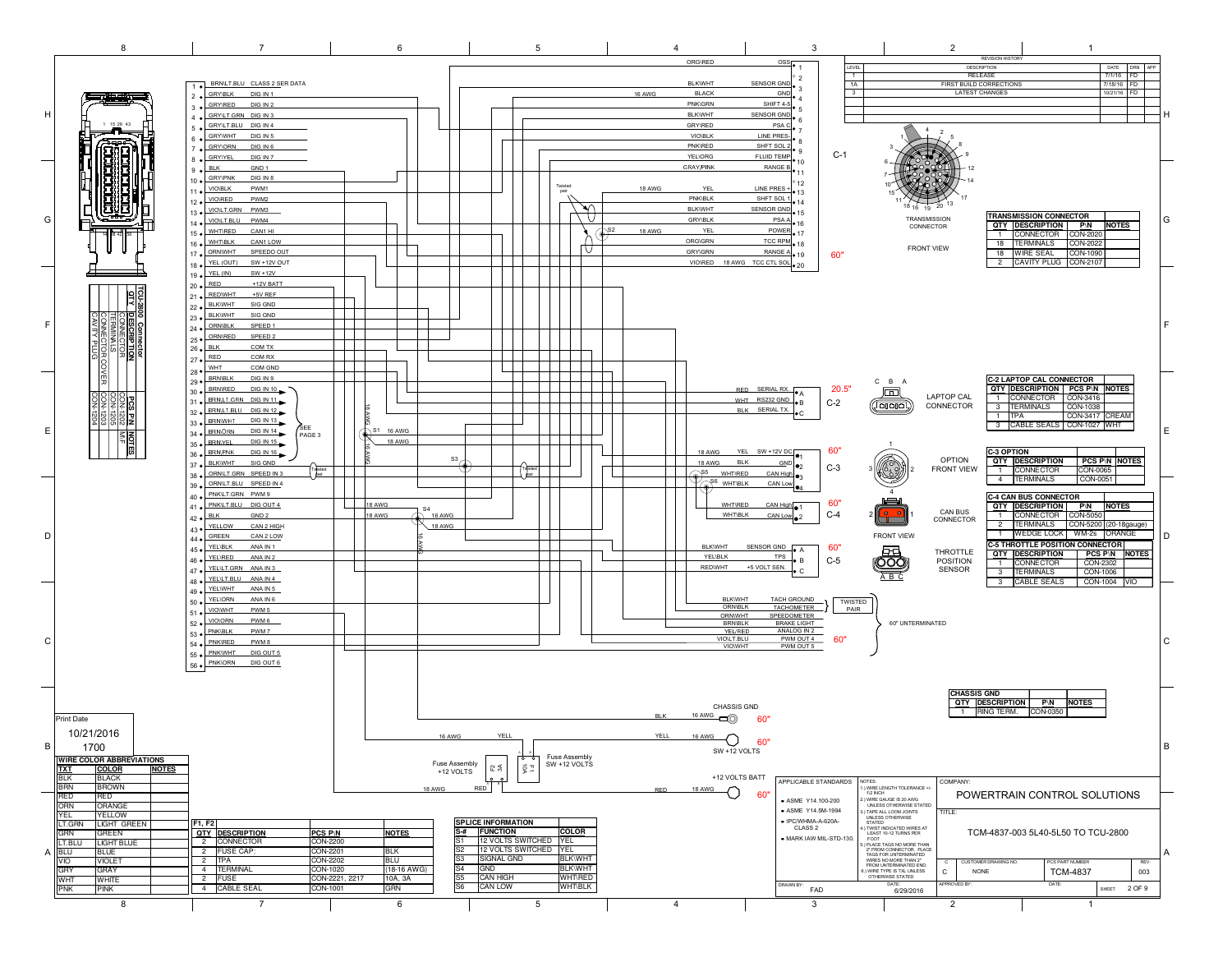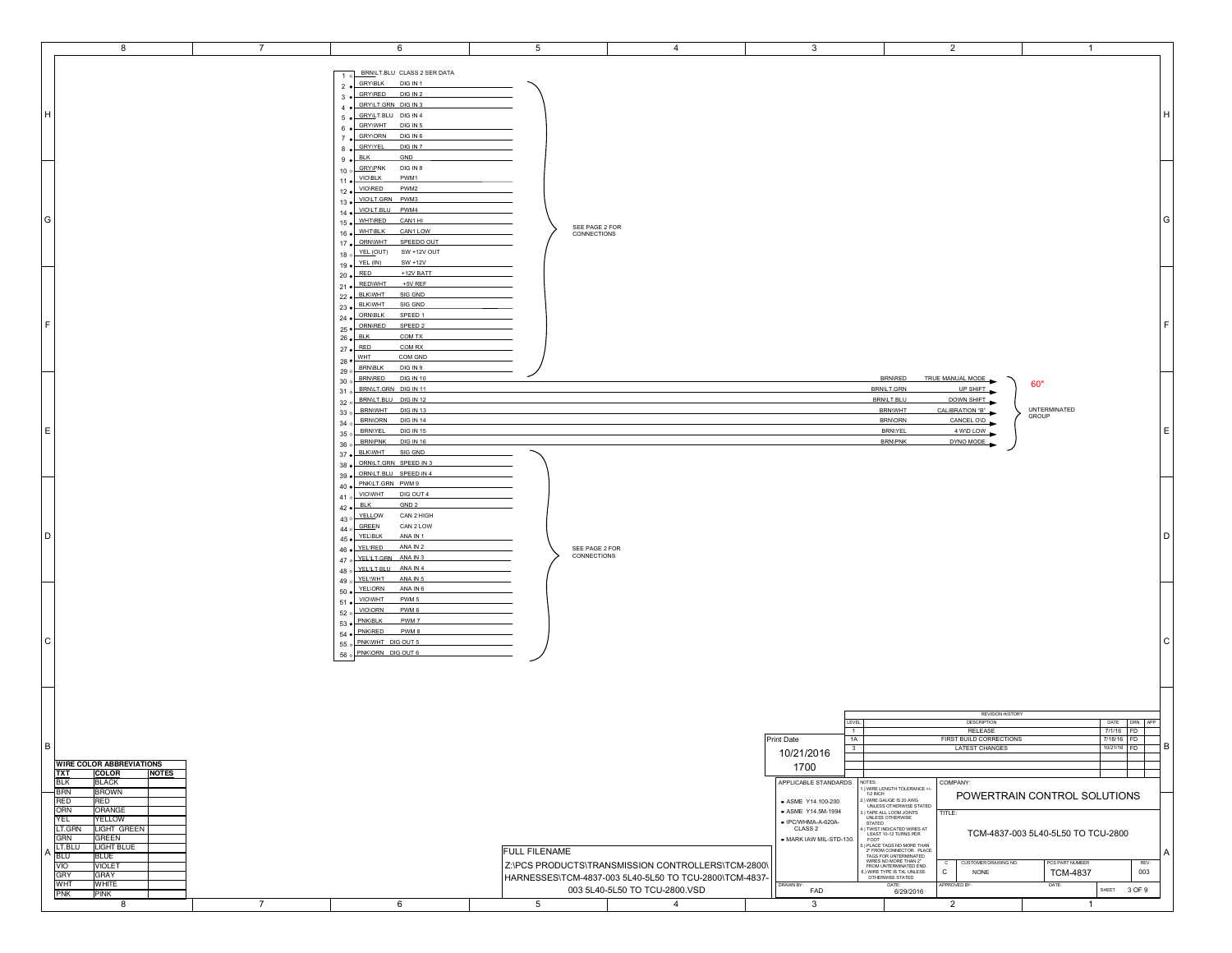